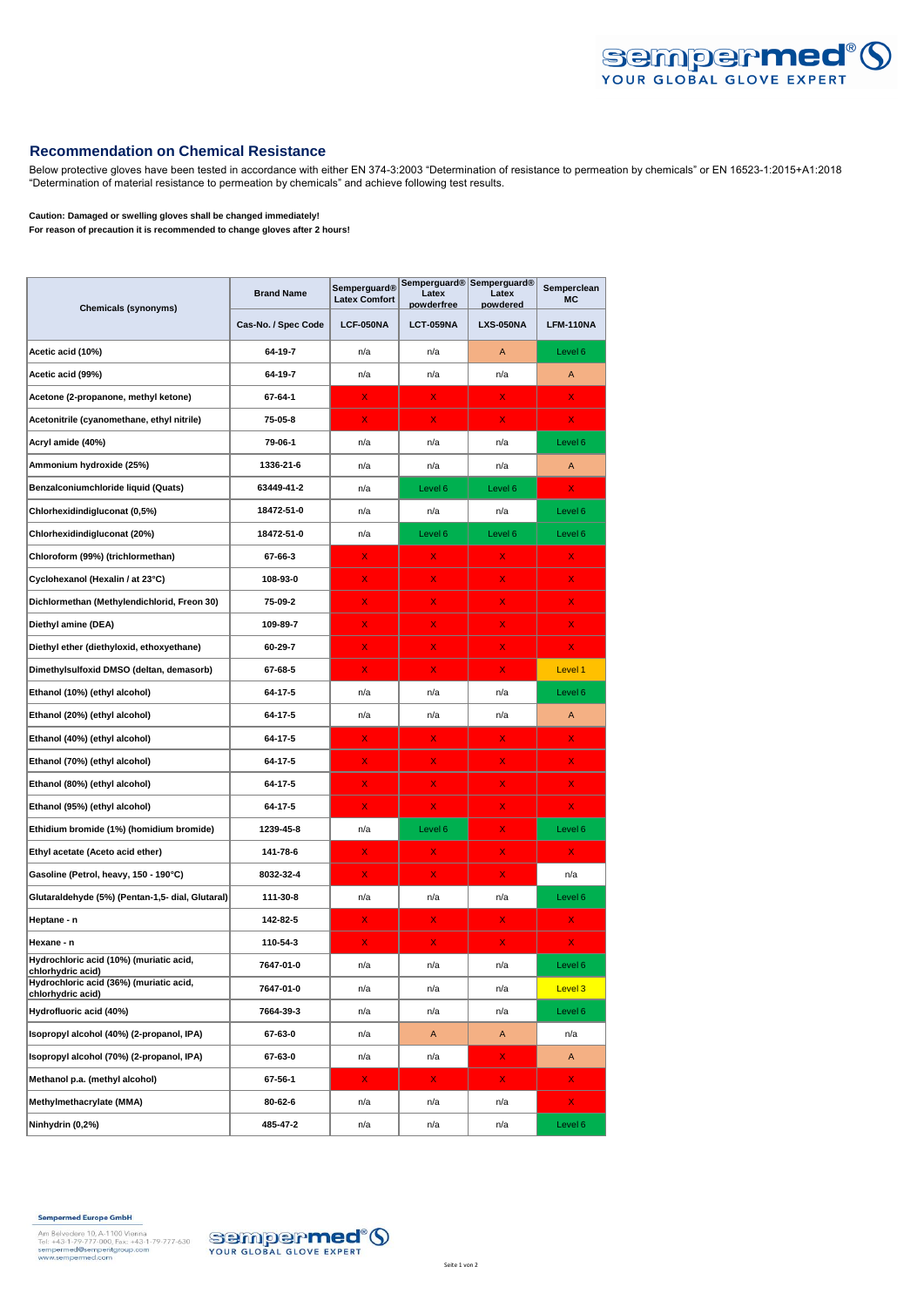

## **Recommendation on Chemical Resistance**

Below protective gloves have been tested in accordance with either EN 374-3:2003 "Determination of resistance to permeation by chemicals" or EN 16523-1:2015+A1:2018 "Determination of material resistance to permeation by chemicals" and achieve following test results.

**Caution: Damaged or swelling gloves shall be changed immediately!**

**For reason of precaution it is recommended to change gloves after 2 hours!**

| <b>Chemicals (synonyms)</b>                                                       | <b>Brand Name</b>   | <b>Semperguard®</b><br><b>Latex Comfort</b> | Latex<br>powderfree | Semperguard® Semperguard®<br>Latex<br>powdered | Semperclean<br><b>MC</b> |
|-----------------------------------------------------------------------------------|---------------------|---------------------------------------------|---------------------|------------------------------------------------|--------------------------|
|                                                                                   | Cas-No. / Spec Code | LCF-050NA                                   | <b>LCT-059NA</b>    | <b>LXS-050NA</b>                               | LFM-110NA                |
| Acetic acid (10%)                                                                 | 64-19-7             | n/a                                         | n/a                 | A                                              | Level 6                  |
| Acetic acid (99%)                                                                 | 64-19-7             | n/a                                         | n/a                 | n/a                                            | А                        |
| Acetone (2-propanone, methyl ketone)                                              | 67-64-1             | X                                           | x                   | X                                              | X.                       |
| Acetonitrile (cyanomethane, ethyl nitrile)                                        | 75-05-8             | X.                                          | x                   | X.                                             | X.                       |
| Acryl amide (40%)                                                                 | 79-06-1             | n/a                                         | n/a                 | n/a                                            | Level 6                  |
| Ammonium hydroxide (25%)                                                          | 1336-21-6           | n/a                                         | n/a                 | n/a                                            | Α                        |
| Benzalconiumchloride liquid (Quats)                                               | 63449-41-2          | n/a                                         | Level 6             | Level 6                                        | X.                       |
| Chlorhexidindigluconat (0,5%)                                                     | 18472-51-0          | n/a                                         | n/a                 | n/a                                            | Level 6                  |
| Chlorhexidindigluconat (20%)                                                      | 18472-51-0          | n/a                                         | Level 6             | Level 6                                        | Level 6                  |
| Chloroform (99%) (trichlormethan)                                                 | 67-66-3             | x                                           | X                   | X                                              | X                        |
| Cyclohexanol (Hexalin / at 23°C)                                                  | 108-93-0            | X                                           | X                   | X                                              | X.                       |
| Dichlormethan (Methylendichlorid, Freon 30)                                       | 75-09-2             | X                                           | X                   | X                                              | X.                       |
| Diethyl amine (DEA)                                                               | 109-89-7            | x                                           | X                   | X                                              | X.                       |
| Diethyl ether (diethyloxid, ethoxyethane)                                         | 60-29-7             | x                                           | X.                  | x                                              | X.                       |
| Dimethylsulfoxid DMSO (deltan, demasorb)                                          | 67-68-5             | X.                                          | x                   | X                                              | Level 1                  |
| Ethanol (10%) (ethyl alcohol)                                                     | 64-17-5             | n/a                                         | n/a                 | n/a                                            | Level 6                  |
| Ethanol (20%) (ethyl alcohol)                                                     | 64-17-5             | n/a                                         | n/a                 | n/a                                            | Α                        |
| Ethanol (40%) (ethyl alcohol)                                                     | 64-17-5             | x                                           | x                   | x                                              | X.                       |
| Ethanol (70%) (ethyl alcohol)                                                     | 64-17-5             | X.                                          | X                   | X                                              | X.                       |
| Ethanol (80%) (ethyl alcohol)                                                     | 64-17-5             | X                                           | X                   | X                                              | X.                       |
| Ethanol (95%) (ethyl alcohol)                                                     | 64-17-5             | x                                           | X.                  | x                                              | X.                       |
| Ethidium bromide (1%) (homidium bromide)                                          | 1239-45-8           | n/a                                         | Level 6             | X.                                             | Level 6                  |
| Ethyl acetate (Aceto acid ether)                                                  | 141-78-6            | x                                           | x                   | x                                              | x                        |
| Gasoline (Petrol, heavy, 150 - 190°C)                                             | 8032-32-4           | X.                                          | X                   | X                                              | n/a                      |
| Glutaraldehyde (5%) (Pentan-1,5- dial, Glutaral)                                  | 111-30-8            | n/a                                         | n/a                 | n/a                                            | Level 6                  |
| Heptane - n                                                                       | 142-82-5            | x                                           | x                   | X                                              | X.                       |
| Hexane - n                                                                        | 110-54-3            | x                                           | x                   | X                                              | x                        |
| Hydrochloric acid (10%) (muriatic acid,                                           | 7647-01-0           | n/a                                         | n/a                 | n/a                                            | Level 6                  |
| cniornyaric acia)<br>Hydrochloric acid (36%) (muriatic acid,<br>chlorhydric acid) | 7647-01-0           | n/a                                         | n/a                 | n/a                                            | Level 3                  |
| Hydrofluoric acid (40%)                                                           | 7664-39-3           | n/a                                         | n/a                 | n/a                                            | Level 6                  |
| Isopropyl alcohol (40%) (2-propanol, IPA)                                         | 67-63-0             | n/a                                         | A                   | A                                              | n/a                      |
| Isopropyl alcohol (70%) (2-propanol, IPA)                                         | 67-63-0             | n/a                                         | n/a                 | X.                                             | A                        |
| Methanol p.a. (methyl alcohol)                                                    | 67-56-1             | $\mathsf{X}$ .                              | $\mathsf{X}$        | $\mathsf{X}$ .                                 | X.                       |
| Methylmethacrylate (MMA)                                                          | 80-62-6             | n/a                                         | n/a                 | n/a                                            | X.                       |
| Ninhydrin (0,2%)                                                                  | 485-47-2            | n/a                                         | n/a                 | n/a                                            | Level 6                  |

**Sempermed Europe GmbH**